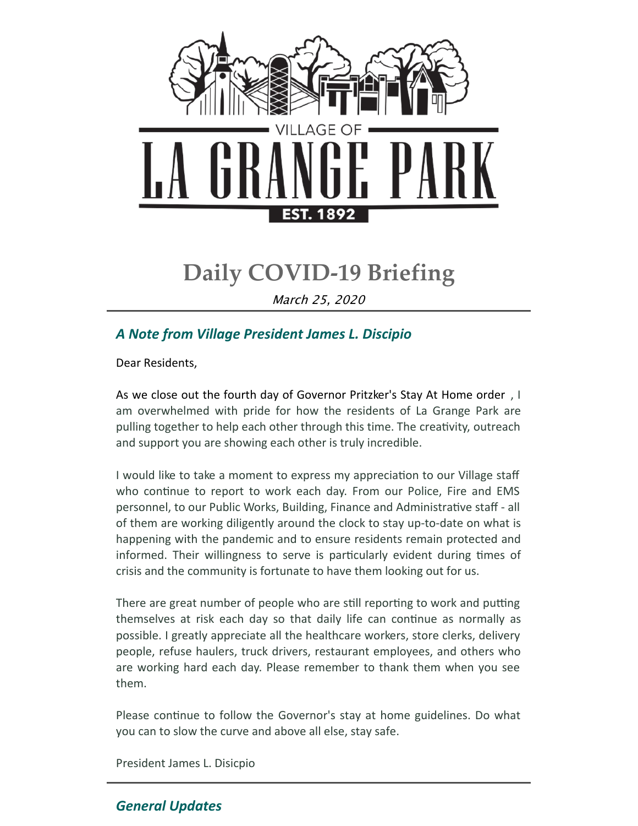

# **Daily COVID-19 Briefing**

March 25, 2020

# *A Note from Village President James L. Discipio*

Dear Residents,

As we close out the fourth day of Governor Pritzker's Stay At Home order , I am overwhelmed with pride for how the residents of La Grange Park are pulling together to help each other through this time. The creativity, outreach and support you are showing each other is truly incredible.

I would like to take a moment to express my appreciation to our Village staff who continue to report to work each day. From our Police, Fire and EMS personnel, to our Public Works, Building, Finance and Administrative staff - all of them are working diligently around the clock to stay up-to-date on what is happening with the pandemic and to ensure residents remain protected and informed. Their willingness to serve is particularly evident during times of crisis and the community is fortunate to have them looking out for us.

There are great number of people who are still reporting to work and putting themselves at risk each day so that daily life can continue as normally as possible. I greatly appreciate all the healthcare workers, store clerks, delivery people, refuse haulers, truck drivers, restaurant employees, and others who are working hard each day. Please remember to thank them when you see them.

Please continue to follow the Governor's stay at home guidelines. Do what you can to slow the curve and above all else, stay safe.

President James L. Disicpio

# *General Updates*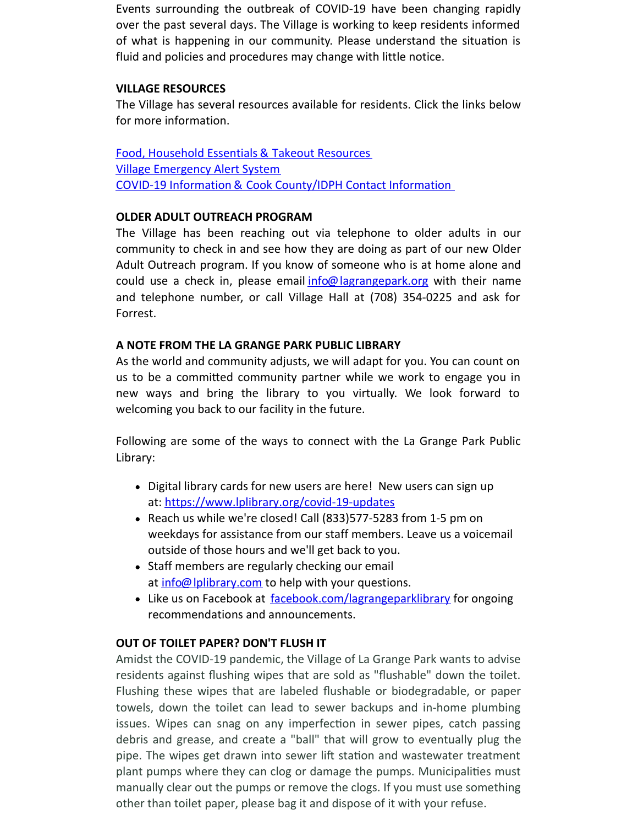Events surrounding the outbreak of COVID-19 have been changing rapidly over the past several days. The Village is working to keep residents informed of what is happening in our community. Please understand the situation is fluid and policies and procedures may change with little notice.

#### **VILLAGE RESOURCES**

The Village has several resources available for residents. Click the links below for more information.

Food, [Household](http://www.lagrangepark.org/CivicAlerts.aspx?AID=194) Essentials & Takeout Resources Village [Emergency](http://www.lagrangepark.org/202/Emergency-Notifications) Alert System COVID-19 Information & Cook [County/IDPH](http://www.lagrangepark.org/505/Coronavirus-COVID-19#liveEditTab_propertiesTab) Contact Information

# **OLDER ADULT OUTREACH PROGRAM**

The Village has been reaching out via telephone to older adults in our community to check in and see how they are doing as part of our new Older Adult Outreach program. If you know of someone who is at home alone and could use a check in, please email [info@lagrangepark.org](mailto:info@lagrangepark.org) with their name and telephone number, or call Village Hall at (708) 354-0225 and ask for Forrest.

# **A NOTE FROM THE LA GRANGE PARK PUBLIC LIBRARY**

As the world and community adjusts, we will adapt for you. You can count on us to be a committed community partner while we work to engage you in new ways and bring the library to you virtually. We look forward to welcoming you back to our facility in the future.

Following are some of the ways to connect with the La Grange Park Public Library:

- Digital library cards for new users are here! New users can sign up at: <https://www.lplibrary.org/covid-19-updates>
- Reach us while we're closed! Call (833)577-5283 from 1-5 pm on weekdays for assistance from our staff members. Leave us a voicemail outside of those hours and we'll get back to you.
- Staff members are regularly checking our email at *[info@lplibrary.com](mailto:info@lplibrary.com)* to help with your questions.
- Like us on Facebook at [facebook.com/lagrangeparklibrary](http://facebook.com/lagrangeparklibrary) for ongoing recommendations and announcements.

# **OUT OF TOILET PAPER? DON'T FLUSH IT**

Amidst the COVID-19 pandemic, the Village of La Grange Park wants to advise residents against flushing wipes that are sold as "flushable" down the toilet. Flushing these wipes that are labeled flushable or biodegradable, or paper towels, down the toilet can lead to sewer backups and in-home plumbing issues. Wipes can snag on any imperfection in sewer pipes, catch passing debris and grease, and create a "ball" that will grow to eventually plug the pipe. The wipes get drawn into sewer lift station and wastewater treatment plant pumps where they can clog or damage the pumps. Municipalities must manually clear out the pumps or remove the clogs. If you must use something other than toilet paper, please bag it and dispose of it with your refuse.